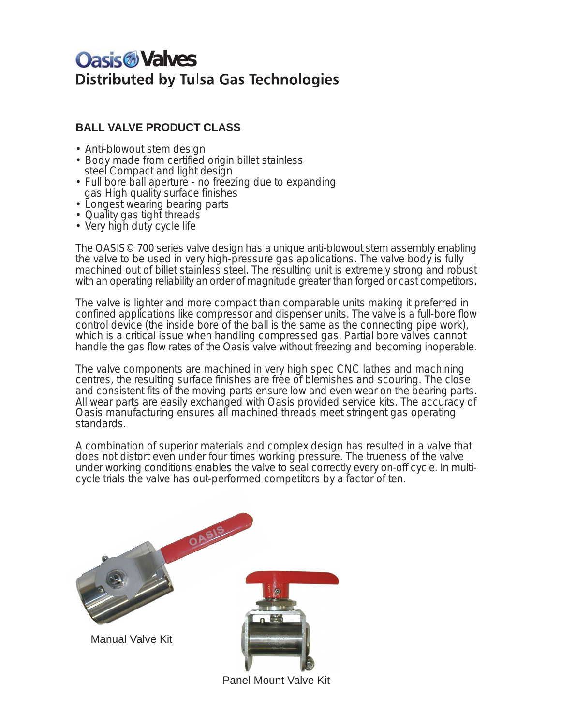# *<u>Oasis</u>* Valves **Distributed by Tulsa Gas Technologies**

## **BALL VALVE PRODUCT CLASS**

- Anti-blowout stem design
- Body made from certified origin billet stainless steel Compact and light design
- Full bore ball aperture no freezing due to expanding gas High quality surface finishes
- Longest wearing bearing parts
- Quality gas tight threads
- Very high duty cycle life

The OASIS© 700 series valve design has a unique anti-blowout stem assembly enabling the valve to be used in very high-pressure gas applications. The valve body is fully machined out of billet stainless steel. The resulting unit is extremely strong and robust with an operating reliability an order of magnitude greater than forged or cast competitors.

The valve is lighter and more compact than comparable units making it preferred in confined applications like compressor and dispenser units. The valve is a full-bore flow control device (the inside bore of the ball is the same as the connecting pipe work), which is a critical issue when handling compressed gas. Partial bore valves cannot handle the gas flow rates of the Oasis valve without freezing and becoming inoperable.

The valve components are machined in very high spec CNC lathes and machining centres, the resulting surface finishes are free of blemishes and scouring. The close and consistent fits of the moving parts ensure low and even wear on the bearing parts. All wear parts are easily exchanged with Oasis provided service kits. The accuracy of Oasis manufacturing ensures all machined threads meet stringent gas operating standards.

A combination of superior materials and complex design has resulted in a valve that does not distort even under four times working pressure. The trueness of the valve under working conditions enables the valve to seal correctly every on-off cycle. In multicycle trials the valve has out-performed competitors by a factor of ten.